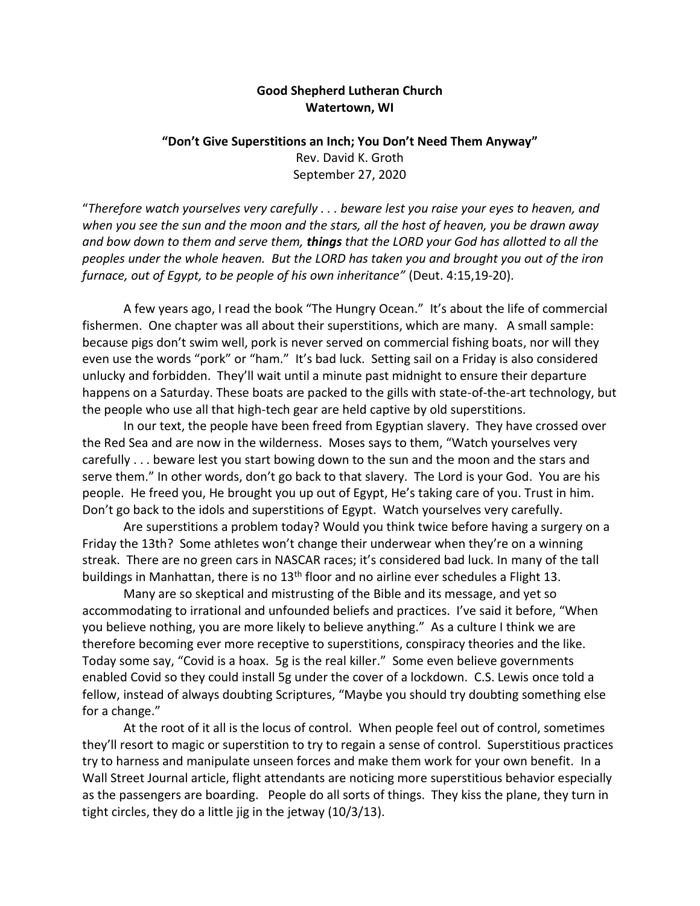## **Good Shepherd Lutheran Church Watertown, WI**

## **"Don't Give Superstitions an Inch; You Don't Need Them Anyway"** Rev. David K. Groth September 27, 2020

"*Therefore watch yourselves very carefully . . . beware lest you raise your eyes to heaven, and when you see the sun and the moon and the stars, all the host of heaven, you be drawn away and bow down to them and serve them, things that the LORD your God has allotted to all the peoples under the whole heaven. But the LORD has taken you and brought you out of the iron furnace, out of Egypt, to be people of his own inheritance"* (Deut. 4:15,19-20).

A few years ago, I read the book "The Hungry Ocean." It's about the life of commercial fishermen. One chapter was all about their superstitions, which are many. A small sample: because pigs don't swim well, pork is never served on commercial fishing boats, nor will they even use the words "pork" or "ham." It's bad luck. Setting sail on a Friday is also considered unlucky and forbidden. They'll wait until a minute past midnight to ensure their departure happens on a Saturday. These boats are packed to the gills with state-of-the-art technology, but the people who use all that high-tech gear are held captive by old superstitions.

In our text, the people have been freed from Egyptian slavery. They have crossed over the Red Sea and are now in the wilderness. Moses says to them, "Watch yourselves very carefully . . . beware lest you start bowing down to the sun and the moon and the stars and serve them." In other words, don't go back to that slavery. The Lord is your God. You are his people. He freed you, He brought you up out of Egypt, He's taking care of you. Trust in him. Don't go back to the idols and superstitions of Egypt. Watch yourselves very carefully.

Are superstitions a problem today? Would you think twice before having a surgery on a Friday the 13th? Some athletes won't change their underwear when they're on a winning streak. There are no green cars in NASCAR races; it's considered bad luck. In many of the tall buildings in Manhattan, there is no 13<sup>th</sup> floor and no airline ever schedules a Flight 13.

Many are so skeptical and mistrusting of the Bible and its message, and yet so accommodating to irrational and unfounded beliefs and practices. I've said it before, "When you believe nothing, you are more likely to believe anything." As a culture I think we are therefore becoming ever more receptive to superstitions, conspiracy theories and the like. Today some say, "Covid is a hoax. 5g is the real killer." Some even believe governments enabled Covid so they could install 5g under the cover of a lockdown. C.S. Lewis once told a fellow, instead of always doubting Scriptures, "Maybe you should try doubting something else for a change."

At the root of it all is the locus of control. When people feel out of control, sometimes they'll resort to magic or superstition to try to regain a sense of control. Superstitious practices try to harness and manipulate unseen forces and make them work for your own benefit. In a Wall Street Journal article, flight attendants are noticing more superstitious behavior especially as the passengers are boarding. People do all sorts of things. They kiss the plane, they turn in tight circles, they do a little jig in the jetway (10/3/13).